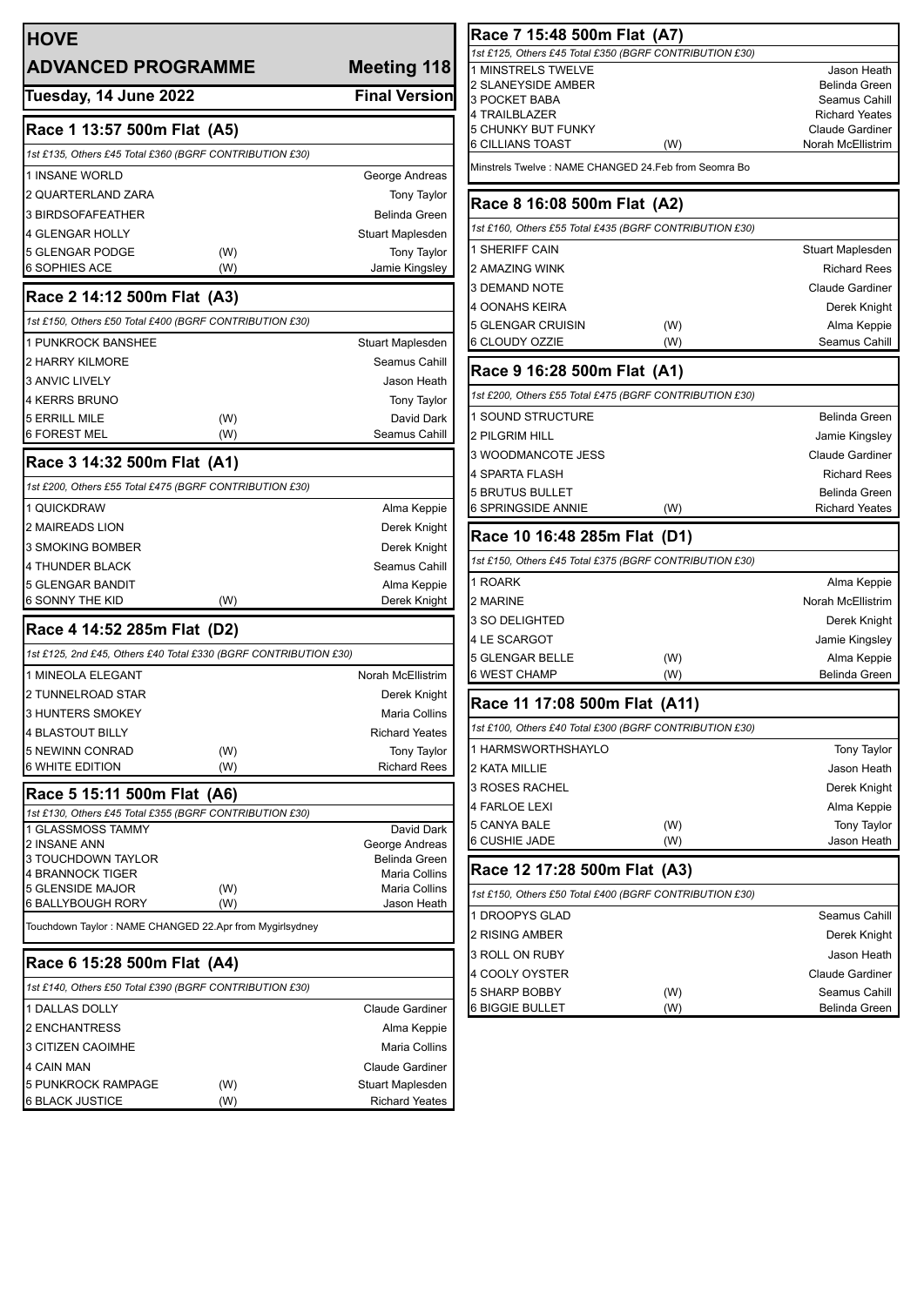| <b>HOVE</b><br><b>ADVANCED PROGRAMME</b>                         | <b>Meeting 118</b>                        |
|------------------------------------------------------------------|-------------------------------------------|
| Tuesday, 14 June 2022                                            | <b>Final Version</b>                      |
| Race 1 13:57 500m Flat (A5)                                      |                                           |
| 1st £135, Others £45 Total £360 (BGRF CONTRIBUTION £30)          |                                           |
| 1 INSANE WORLD                                                   | George Andreas                            |
| 2 QUARTERLAND ZARA                                               | <b>Tony Taylor</b>                        |
| 3 BIRDSOFAFEATHER                                                | <b>Belinda Green</b>                      |
| <b>4 GLENGAR HOLLY</b>                                           | Stuart Maplesden                          |
| 5 GLENGAR PODGE<br>(W)                                           | <b>Tony Taylor</b>                        |
| 6 SOPHIES ACE<br>(W)                                             | Jamie Kingsley                            |
| Race 2 14:12 500m Flat (A3)                                      |                                           |
| 1st £150, Others £50 Total £400 (BGRF CONTRIBUTION £30)          |                                           |
| 1 PUNKROCK BANSHEE                                               | <b>Stuart Maplesden</b>                   |
| 2 HARRY KILMORE                                                  | Seamus Cahill                             |
| <b>3 ANVIC LIVELY</b>                                            | Jason Heath                               |
| <b>4 KERRS BRUNO</b>                                             | Tony Taylor                               |
| 5 ERRILL MILE<br>(W)<br>(W)                                      | David Dark                                |
| 6 FOREST MEL                                                     | Seamus Cahill                             |
| Race 3 14:32 500m Flat (A1)                                      |                                           |
| 1st £200, Others £55 Total £475 (BGRF CONTRIBUTION £30)          |                                           |
| 1 QUICKDRAW                                                      | Alma Keppie                               |
| <b>2 MAIREADS LION</b>                                           | Derek Knight                              |
| 3 SMOKING BOMBER                                                 | Derek Knight                              |
| <b>4 THUNDER BLACK</b><br>5 GLENGAR BANDIT                       | Seamus Cahill                             |
| <b>6 SONNY THE KID</b><br>(W)                                    | Alma Keppie<br>Derek Knight               |
| Race 4 14:52 285m Flat (D2)                                      |                                           |
| 1st £125, 2nd £45, Others £40 Total £330 (BGRF CONTRIBUTION £30) |                                           |
| 1 MINEOLA ELEGANT                                                | Norah McEllistrim                         |
| 2 TUNNELROAD STAR                                                | Derek Knight                              |
| 3 HUNTERS SMOKEY                                                 | Maria Collins                             |
| <b>4 BLASTOUT BILLY</b>                                          | <b>Richard Yeates</b>                     |
| 5 NEWINN CONRAD<br>(W)                                           | Tony Taylor                               |
| 6 WHITE EDITION<br>(W)                                           | <b>Richard Rees</b>                       |
| Race 5 15:11 500m Flat (A6)                                      |                                           |
| 1st £130, Others £45 Total £355 (BGRF CONTRIBUTION £30)          |                                           |
| 1 GLASSMOSS TAMMY<br>2 INSANE ANN                                | David Dark<br>George Andreas              |
| 3 TOUCHDOWN TAYLOR                                               | <b>Belinda Green</b>                      |
| <b>4 BRANNOCK TIGER</b>                                          | Maria Collins                             |
| <b>5 GLENSIDE MAJOR</b><br>(W)<br>6 BALLYBOUGH RORY<br>(W)       | Maria Collins<br>Jason Heath              |
| Touchdown Taylor: NAME CHANGED 22.Apr from Mygirlsydney          |                                           |
|                                                                  |                                           |
| Race 6 15:28 500m Flat (A4)                                      |                                           |
| 1st £140, Others £50 Total £390 (BGRF CONTRIBUTION £30)          |                                           |
| <b>1 DALLAS DOLLY</b>                                            | <b>Claude Gardiner</b>                    |
| 2 ENCHANTRESS                                                    | Alma Keppie                               |
| 3 CITIZEN CAOIMHE                                                | Maria Collins                             |
| <b>4 CAIN MAN</b>                                                | Claude Gardiner                           |
| 5 PUNKROCK RAMPAGE<br>(W)<br><b>6 BLACK JUSTICE</b><br>(W)       | Stuart Maplesden<br><b>Richard Yeates</b> |
|                                                                  |                                           |

| Race 7 15:48 500m Flat (A7)                             |     |                                                 |  |  |  |  |  |
|---------------------------------------------------------|-----|-------------------------------------------------|--|--|--|--|--|
| 1st £125, Others £45 Total £350 (BGRF CONTRIBUTION £30) |     |                                                 |  |  |  |  |  |
| 1 MINSTRELS TWELVE                                      |     | Jason Heath                                     |  |  |  |  |  |
| 2 SLANEYSIDE AMBER                                      |     | Belinda Green                                   |  |  |  |  |  |
| 3 POCKET BABA                                           |     | Seamus Cahill                                   |  |  |  |  |  |
| 4 TRAILBLAZER<br>5 CHUNKY BUT FUNKY                     |     | <b>Richard Yeates</b><br><b>Claude Gardiner</b> |  |  |  |  |  |
| 6 CILLIANS TOAST                                        | (W) | Norah McEllistrim                               |  |  |  |  |  |
| Minstrels Twelve : NAME CHANGED 24.Feb from Seomra Bo   |     |                                                 |  |  |  |  |  |
| Race 8 16:08 500m Flat (A2)                             |     |                                                 |  |  |  |  |  |
| 1st £160, Others £55 Total £435 (BGRF CONTRIBUTION £30) |     |                                                 |  |  |  |  |  |
| 1 SHERIFF CAIN                                          |     | Stuart Maplesden                                |  |  |  |  |  |
| 2 AMAZING WINK                                          |     | <b>Richard Rees</b>                             |  |  |  |  |  |
| 3 DEMAND NOTE                                           |     | <b>Claude Gardiner</b>                          |  |  |  |  |  |
| 4 OONAHS KEIRA                                          |     | Derek Knight                                    |  |  |  |  |  |
| 5 GLENGAR CRUISIN                                       | (W) | Alma Keppie                                     |  |  |  |  |  |
| 6 CLOUDY OZZIE                                          | (W) | Seamus Cahill                                   |  |  |  |  |  |
| Race 9 16:28 500m Flat (A1)                             |     |                                                 |  |  |  |  |  |
| 1st £200, Others £55 Total £475 (BGRF CONTRIBUTION £30) |     |                                                 |  |  |  |  |  |
| 1 SOUND STRUCTURE                                       |     | Belinda Green                                   |  |  |  |  |  |
| 2 PILGRIM HILL                                          |     | Jamie Kingsley                                  |  |  |  |  |  |
| 3 WOODMANCOTE JESS                                      |     | <b>Claude Gardiner</b>                          |  |  |  |  |  |
| 4 SPARTA FLASH                                          |     | <b>Richard Rees</b>                             |  |  |  |  |  |
| 5 BRUTUS BULLET                                         |     | <b>Belinda Green</b>                            |  |  |  |  |  |
| 6 SPRINGSIDE ANNIE                                      | (W) | <b>Richard Yeates</b>                           |  |  |  |  |  |
|                                                         |     |                                                 |  |  |  |  |  |
| Race 10 16:48 285m Flat (D1)                            |     |                                                 |  |  |  |  |  |
| 1st £150, Others £45 Total £375 (BGRF CONTRIBUTION £30) |     |                                                 |  |  |  |  |  |
| 1 ROARK                                                 |     | Alma Keppie                                     |  |  |  |  |  |
| 2 MARINE                                                |     | Norah McEllistrim                               |  |  |  |  |  |
| 3 SO DELIGHTED                                          |     | Derek Knight                                    |  |  |  |  |  |
| 4 LE SCARGOT                                            |     | Jamie Kingsley                                  |  |  |  |  |  |
| 5 GLENGAR BELLE                                         | (W) | Alma Keppie                                     |  |  |  |  |  |
| 6 WEST CHAMP                                            | (W) | Belinda Green                                   |  |  |  |  |  |
| Race 11 17:08 500m Flat (A11)                           |     |                                                 |  |  |  |  |  |
| 1st £100, Others £40 Total £300 (BGRF CONTRIBUTION £30) |     |                                                 |  |  |  |  |  |
| 1 HARMSWORTHSHAYLO                                      |     | <b>Tony Taylor</b>                              |  |  |  |  |  |
| 2 KATA MILLIE                                           |     | Jason Heath                                     |  |  |  |  |  |
| 3 ROSES RACHEL                                          |     | Derek Knight                                    |  |  |  |  |  |
| 4 FARLOE LEXI                                           |     | Alma Keppie                                     |  |  |  |  |  |
| 5 CANYA BALE                                            | (W) | <b>Tony Taylor</b>                              |  |  |  |  |  |
| 6 CUSHIE JADE                                           | (W) | Jason Heath                                     |  |  |  |  |  |
| Race 12 17:28 500m Flat (A3)                            |     |                                                 |  |  |  |  |  |
| 1st £150, Others £50 Total £400 (BGRF CONTRIBUTION £30) |     |                                                 |  |  |  |  |  |
| 1 DROOPYS GLAD                                          |     | Seamus Cahill                                   |  |  |  |  |  |
| 2 RISING AMBER                                          |     | Derek Knight                                    |  |  |  |  |  |
| 3 ROLL ON RUBY                                          |     | Jason Heath                                     |  |  |  |  |  |
| 4 COOLY OYSTER                                          |     | <b>Claude Gardiner</b>                          |  |  |  |  |  |
| 5 SHARP BOBBY                                           | (W) | Seamus Cahill                                   |  |  |  |  |  |